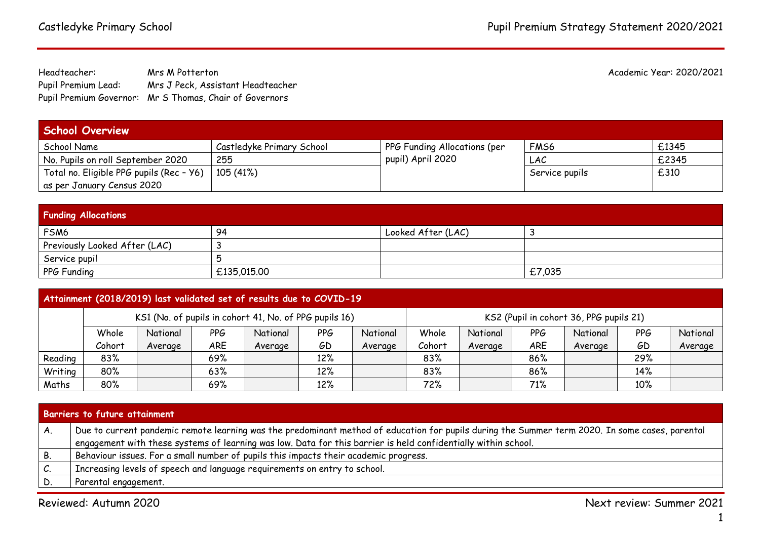Headteacher: Mrs M Potterton Academic Year: 2020/2021 Pupil Premium Lead: Mrs J Peck, Assistant Headteacher Pupil Premium Governor: Mr S Thomas, Chair of Governors

| <b>School Overview</b>                   |                           |                              |                  |       |  |  |
|------------------------------------------|---------------------------|------------------------------|------------------|-------|--|--|
| School Name                              | Castledyke Primary School | PPG Funding Allocations (per | FM <sub>56</sub> | £1345 |  |  |
| No. Pupils on roll September 2020        | 255                       | pupil) April 2020            | LAC              | £2345 |  |  |
| Total no. Eligible PPG pupils (Rec - Y6) | 105 (41%)                 |                              | Service pupils   | £310  |  |  |
| as per January Census 2020               |                           |                              |                  |       |  |  |

| <b>Funding Allocations</b>    |             |                    |        |  |  |  |
|-------------------------------|-------------|--------------------|--------|--|--|--|
| FSM6                          | -94         | Looked After (LAC) |        |  |  |  |
| Previously Looked After (LAC) |             |                    |        |  |  |  |
| Service pupil                 |             |                    |        |  |  |  |
| PPG Funding                   | £135,015.00 |                    | £7,035 |  |  |  |

| Attainment (2018/2019) last validated set of results due to COVID-19 |        |                                                        |            |          |     |          |        |          |            |                                         |     |          |
|----------------------------------------------------------------------|--------|--------------------------------------------------------|------------|----------|-----|----------|--------|----------|------------|-----------------------------------------|-----|----------|
|                                                                      |        | KS1 (No. of pupils in cohort 41, No. of PPG pupils 16) |            |          |     |          |        |          |            | KS2 (Pupil in cohort 36, PPG pupils 21) |     |          |
|                                                                      | Whole  | National                                               | <b>PPG</b> | National | PPG | National | Whole  | National | PPG        | National                                | PPG | National |
|                                                                      | Cohort | Average                                                | <b>ARE</b> | Average  | GD  | Average  | Cohort | Average  | <b>ARE</b> | Average                                 | GD  | Average  |
| Reading                                                              | 83%    |                                                        | 69%        |          | 12% |          | 83%    |          | 86%        |                                         | 29% |          |
| Writing                                                              | 80%    |                                                        | 63%        |          | 12% |          | 83%    |          | 86%        |                                         | 14% |          |
| Maths                                                                | 80%    |                                                        | 69%        |          | 12% |          | 72%    |          | 71%        |                                         | 10% |          |

| Barriers to future attainment |                                                                                                                                                 |  |  |  |
|-------------------------------|-------------------------------------------------------------------------------------------------------------------------------------------------|--|--|--|
|                               | Due to current pandemic remote learning was the predominant method of education for pupils during the Summer term 2020. In some cases, parental |  |  |  |
|                               | engagement with these systems of learning was low. Data for this barrier is held confidentially within school.                                  |  |  |  |
| В.                            | Behaviour issues. For a small number of pupils this impacts their academic progress.                                                            |  |  |  |
| ı.                            | Increasing levels of speech and language requirements on entry to school.                                                                       |  |  |  |
|                               | Parental engagement.                                                                                                                            |  |  |  |

Reviewed: Autumn 2020 Next review: Summer 2021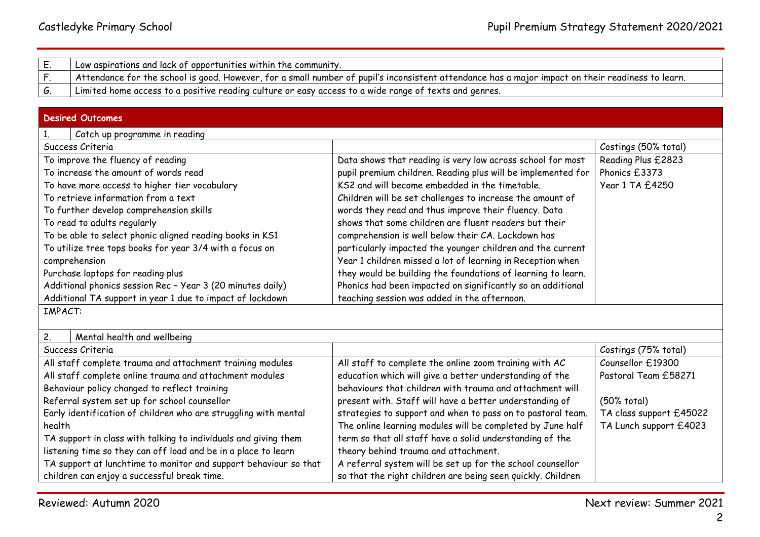| Low aspirations and lack of opportunities within the community.                                                                                     |
|-----------------------------------------------------------------------------------------------------------------------------------------------------|
| . Attendance for the school is good. However, for a small number of pupil's inconsistent attendance has a major impact on their readiness to learn. |
| Limited home access to a positive reading culture or easy access to a wide range of texts and genres.                                               |

## **Desired Outcomes**

| 1.<br>Catch up programme in reading                              |                                                              |                         |  |  |  |
|------------------------------------------------------------------|--------------------------------------------------------------|-------------------------|--|--|--|
| Success Criteria                                                 |                                                              | Costings (50% total)    |  |  |  |
| To improve the fluency of reading                                | Data shows that reading is very low across school for most   | Reading Plus £2823      |  |  |  |
| To increase the amount of words read                             | pupil premium children. Reading plus will be implemented for | Phonics £3373           |  |  |  |
| To have more access to higher tier vocabulary                    | KS2 and will become embedded in the timetable.               | Year 1 TA £4250         |  |  |  |
| To retrieve information from a text                              | Children will be set challenges to increase the amount of    |                         |  |  |  |
| To further develop comprehension skills                          | words they read and thus improve their fluency. Data         |                         |  |  |  |
| To read to adults regularly                                      | shows that some children are fluent readers but their        |                         |  |  |  |
| To be able to select phonic aligned reading books in KS1         | comprehension is well below their CA. Lockdown has           |                         |  |  |  |
| To utilize tree tops books for year 3/4 with a focus on          | particularly impacted the younger children and the current   |                         |  |  |  |
| comprehension                                                    | Year 1 children missed a lot of learning in Reception when   |                         |  |  |  |
| Purchase laptops for reading plus                                | they would be building the foundations of learning to learn. |                         |  |  |  |
| Additional phonics session Rec - Year 3 (20 minutes daily)       | Phonics had been impacted on significantly so an additional  |                         |  |  |  |
| Additional TA support in year 1 due to impact of lockdown        | teaching session was added in the afternoon.                 |                         |  |  |  |
| <b>IMPACT:</b>                                                   |                                                              |                         |  |  |  |
|                                                                  |                                                              |                         |  |  |  |
| 2.<br>Mental health and wellbeing                                |                                                              |                         |  |  |  |
| Success Criteria                                                 |                                                              | Costings (75% total)    |  |  |  |
| All staff complete trauma and attachment training modules        | All staff to complete the online zoom training with AC       | Counsellor £19300       |  |  |  |
| All staff complete online trauma and attachment modules          | education which will give a better understanding of the      | Pastoral Team £58271    |  |  |  |
| Behaviour policy changed to reflect training                     | behaviours that children with trauma and attachment will     |                         |  |  |  |
| Referral system set up for school counsellor                     | present with. Staff will have a better understanding of      | (50% total)             |  |  |  |
| Early identification of children who are struggling with mental  | strategies to support and when to pass on to pastoral team.  | TA class support £45022 |  |  |  |
| health                                                           | The online learning modules will be completed by June half   | TA Lunch support £4023  |  |  |  |
| TA support in class with talking to individuals and giving them  | term so that all staff have a solid understanding of the     |                         |  |  |  |
| listening time so they can off load and be in a place to learn   | theory behind trauma and attachment.                         |                         |  |  |  |
| TA support at lunchtime to monitor and support behaviour so that | A referral system will be set up for the school counsellor   |                         |  |  |  |
| children can enjoy a successful break time.                      | so that the right children are being seen quickly. Children  |                         |  |  |  |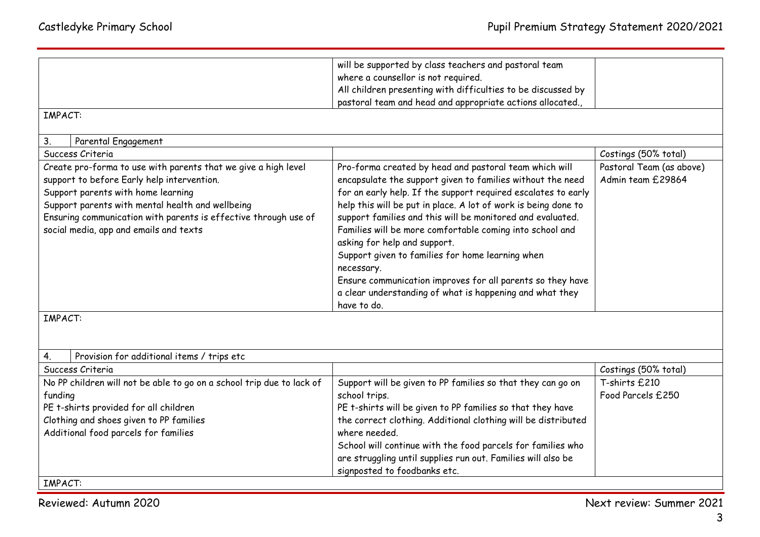|                                                                       | will be supported by class teachers and pastoral team                                        |                          |
|-----------------------------------------------------------------------|----------------------------------------------------------------------------------------------|--------------------------|
|                                                                       | where a counsellor is not required.                                                          |                          |
|                                                                       | All children presenting with difficulties to be discussed by                                 |                          |
|                                                                       | pastoral team and head and appropriate actions allocated.,                                   |                          |
| <b>IMPACT:</b>                                                        |                                                                                              |                          |
|                                                                       |                                                                                              |                          |
| Parental Engagement<br>3.<br>Success Criteria                         |                                                                                              | Costings (50% total)     |
|                                                                       |                                                                                              |                          |
| Create pro-forma to use with parents that we give a high level        | Pro-forma created by head and pastoral team which will                                       | Pastoral Team (as above) |
| support to before Early help intervention.                            | encapsulate the support given to families without the need                                   | Admin team £29864        |
| Support parents with home learning                                    | for an early help. If the support required escalates to early                                |                          |
| Support parents with mental health and wellbeing                      | help this will be put in place. A lot of work is being done to                               |                          |
| Ensuring communication with parents is effective through use of       | support families and this will be monitored and evaluated.                                   |                          |
| social media, app and emails and texts                                | Families will be more comfortable coming into school and                                     |                          |
|                                                                       | asking for help and support.                                                                 |                          |
|                                                                       | Support given to families for home learning when                                             |                          |
|                                                                       | necessary.                                                                                   |                          |
|                                                                       | Ensure communication improves for all parents so they have                                   |                          |
|                                                                       | a clear understanding of what is happening and what they                                     |                          |
|                                                                       | have to do.                                                                                  |                          |
| <b>IMPACT:</b>                                                        |                                                                                              |                          |
|                                                                       |                                                                                              |                          |
|                                                                       |                                                                                              |                          |
| Provision for additional items / trips etc<br>4.                      |                                                                                              |                          |
| Success Criteria                                                      |                                                                                              | Costings (50% total)     |
| No PP children will not be able to go on a school trip due to lack of | Support will be given to PP families so that they can go on                                  | T-shirts £210            |
| funding                                                               | school trips.                                                                                | Food Parcels £250        |
| PE t-shirts provided for all children                                 | PE t-shirts will be given to PP families so that they have                                   |                          |
| Clothing and shoes given to PP families                               | the correct clothing. Additional clothing will be distributed                                |                          |
| Additional food parcels for families                                  | where needed.                                                                                |                          |
|                                                                       |                                                                                              |                          |
|                                                                       | School will continue with the food parcels for families who                                  |                          |
|                                                                       |                                                                                              |                          |
|                                                                       | are struggling until supplies run out. Families will also be<br>signposted to foodbanks etc. |                          |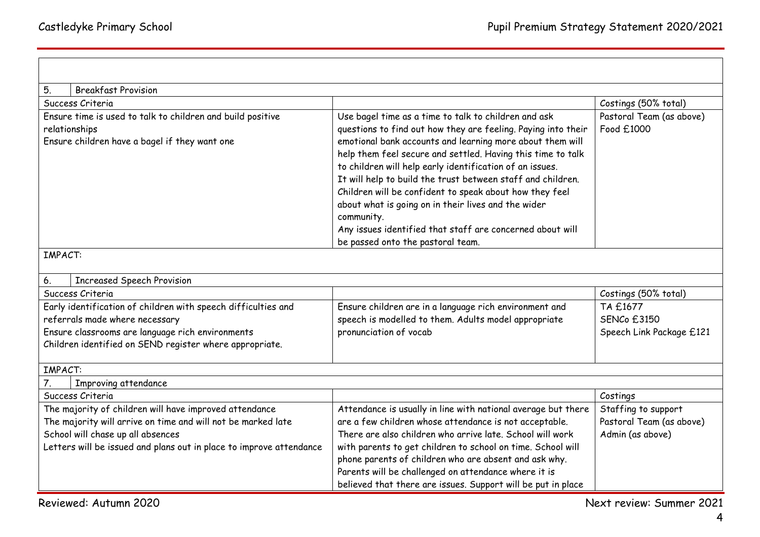| 5.<br><b>Breakfast Provision</b>                                    |                                                                                                                                                                                                                                                                                                                                                                                                                                                                                                                                                        |                          |  |  |  |  |
|---------------------------------------------------------------------|--------------------------------------------------------------------------------------------------------------------------------------------------------------------------------------------------------------------------------------------------------------------------------------------------------------------------------------------------------------------------------------------------------------------------------------------------------------------------------------------------------------------------------------------------------|--------------------------|--|--|--|--|
| Success Criteria                                                    |                                                                                                                                                                                                                                                                                                                                                                                                                                                                                                                                                        | Costings (50% total)     |  |  |  |  |
| Ensure time is used to talk to children and build positive          | Use bagel time as a time to talk to children and ask                                                                                                                                                                                                                                                                                                                                                                                                                                                                                                   | Pastoral Team (as above) |  |  |  |  |
| relationships<br>Ensure children have a bagel if they want one      | questions to find out how they are feeling. Paying into their<br>emotional bank accounts and learning more about them will<br>help them feel secure and settled. Having this time to talk<br>to children will help early identification of an issues.<br>It will help to build the trust between staff and children.<br>Children will be confident to speak about how they feel<br>about what is going on in their lives and the wider<br>community.<br>Any issues identified that staff are concerned about will<br>be passed onto the pastoral team. | Food £1000               |  |  |  |  |
| <b>IMPACT:</b>                                                      |                                                                                                                                                                                                                                                                                                                                                                                                                                                                                                                                                        |                          |  |  |  |  |
| <b>Increased Speech Provision</b><br>6.                             |                                                                                                                                                                                                                                                                                                                                                                                                                                                                                                                                                        |                          |  |  |  |  |
| Success Criteria                                                    |                                                                                                                                                                                                                                                                                                                                                                                                                                                                                                                                                        | Costings (50% total)     |  |  |  |  |
| Early identification of children with speech difficulties and       | Ensure children are in a language rich environment and                                                                                                                                                                                                                                                                                                                                                                                                                                                                                                 | TA £1677                 |  |  |  |  |
| referrals made where necessary                                      | speech is modelled to them. Adults model appropriate                                                                                                                                                                                                                                                                                                                                                                                                                                                                                                   | <b>SENCo £3150</b>       |  |  |  |  |
| Ensure classrooms are language rich environments                    | pronunciation of vocab                                                                                                                                                                                                                                                                                                                                                                                                                                                                                                                                 | Speech Link Package £121 |  |  |  |  |
| Children identified on SEND register where appropriate.             |                                                                                                                                                                                                                                                                                                                                                                                                                                                                                                                                                        |                          |  |  |  |  |
| <b>IMPACT:</b>                                                      |                                                                                                                                                                                                                                                                                                                                                                                                                                                                                                                                                        |                          |  |  |  |  |
| 7.<br>Improving attendance                                          |                                                                                                                                                                                                                                                                                                                                                                                                                                                                                                                                                        |                          |  |  |  |  |
| Success Criteria                                                    |                                                                                                                                                                                                                                                                                                                                                                                                                                                                                                                                                        | Costings                 |  |  |  |  |
| The majority of children will have improved attendance              | Attendance is usually in line with national average but there                                                                                                                                                                                                                                                                                                                                                                                                                                                                                          | Staffing to support      |  |  |  |  |
| The majority will arrive on time and will not be marked late        | are a few children whose attendance is not acceptable.                                                                                                                                                                                                                                                                                                                                                                                                                                                                                                 | Pastoral Team (as above) |  |  |  |  |
| School will chase up all absences                                   | There are also children who arrive late, School will work                                                                                                                                                                                                                                                                                                                                                                                                                                                                                              | Admin (as above)         |  |  |  |  |
| Letters will be issued and plans out in place to improve attendance | with parents to get children to school on time. School will                                                                                                                                                                                                                                                                                                                                                                                                                                                                                            |                          |  |  |  |  |
|                                                                     | phone parents of children who are absent and ask why.                                                                                                                                                                                                                                                                                                                                                                                                                                                                                                  |                          |  |  |  |  |
|                                                                     | Parents will be challenged on attendance where it is                                                                                                                                                                                                                                                                                                                                                                                                                                                                                                   |                          |  |  |  |  |
|                                                                     | believed that there are issues. Support will be put in place                                                                                                                                                                                                                                                                                                                                                                                                                                                                                           |                          |  |  |  |  |